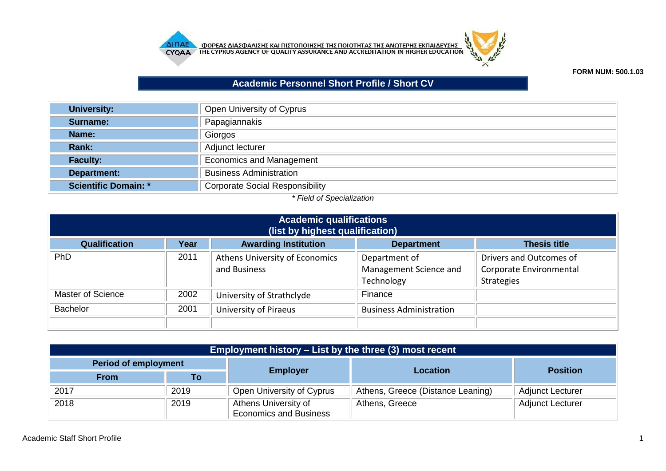



## **FORM NUM: 500.1.03**

## **Academic Personnel Short Profile / Short CV**

| <b>University:</b>          | Open University of Cyprus              |
|-----------------------------|----------------------------------------|
| Surname:                    | Papagiannakis                          |
| Name:                       | Giorgos                                |
| Rank:                       | Adjunct lecturer                       |
| <b>Faculty:</b>             | <b>Economics and Management</b>        |
| Department:                 | <b>Business Administration</b>         |
| <b>Scientific Domain: *</b> | <b>Corporate Social Responsibility</b> |

## *\* Field of Specialization*

| <b>Academic qualifications</b><br>(list by highest qualification) |      |                                                |                                                       |                                                                         |  |
|-------------------------------------------------------------------|------|------------------------------------------------|-------------------------------------------------------|-------------------------------------------------------------------------|--|
| Qualification                                                     | Year | <b>Awarding Institution</b>                    | <b>Department</b>                                     | <b>Thesis title</b>                                                     |  |
| PhD                                                               | 2011 | Athens University of Economics<br>and Business | Department of<br>Management Science and<br>Technology | Drivers and Outcomes of<br>Corporate Environmental<br><b>Strategies</b> |  |
| <b>Master of Science</b>                                          | 2002 | University of Strathclyde                      | Finance                                               |                                                                         |  |
| <b>Bachelor</b>                                                   | 2001 | <b>University of Piraeus</b>                   | <b>Business Administration</b>                        |                                                                         |  |

| <b>Employment history – List by the three (3) most recent</b> |      |                                                       |                                   |                         |  |  |
|---------------------------------------------------------------|------|-------------------------------------------------------|-----------------------------------|-------------------------|--|--|
| <b>Period of employment</b>                                   |      |                                                       | <b>Location</b>                   |                         |  |  |
| <b>From</b>                                                   | To   | <b>Employer</b>                                       |                                   | <b>Position</b>         |  |  |
| 2017                                                          | 2019 | Open University of Cyprus                             | Athens, Greece (Distance Leaning) | <b>Adjunct Lecturer</b> |  |  |
| 2018                                                          | 2019 | Athens University of<br><b>Economics and Business</b> | Athens, Greece                    | <b>Adjunct Lecturer</b> |  |  |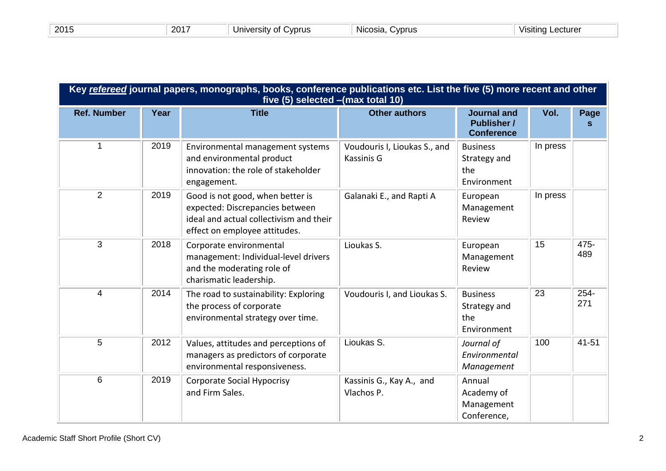| 201 | 201 | Cvprus<br>. ersitv'<br>Jnivc<br>^+<br>u | Cvprus<br>Nicosia | .ecturer<br>VIS'<br>usiting i |
|-----|-----|-----------------------------------------|-------------------|-------------------------------|
|     |     |                                         |                   |                               |

| Key refereed journal papers, monographs, books, conference publications etc. List the five (5) more recent and other<br>five (5) selected - (max total 10) |      |                                                                                                                                                 |                                            |                                                               |          |             |
|------------------------------------------------------------------------------------------------------------------------------------------------------------|------|-------------------------------------------------------------------------------------------------------------------------------------------------|--------------------------------------------|---------------------------------------------------------------|----------|-------------|
| <b>Ref. Number</b>                                                                                                                                         | Year | <b>Title</b>                                                                                                                                    | <b>Other authors</b>                       | <b>Journal and</b><br><b>Publisher /</b><br><b>Conference</b> | Vol.     | Page        |
| $\overline{1}$                                                                                                                                             | 2019 | Environmental management systems<br>and environmental product<br>innovation: the role of stakeholder<br>engagement.                             | Voudouris I, Lioukas S., and<br>Kassinis G | <b>Business</b><br>Strategy and<br>the<br>Environment         | In press |             |
| 2                                                                                                                                                          | 2019 | Good is not good, when better is<br>expected: Discrepancies between<br>ideal and actual collectivism and their<br>effect on employee attitudes. | Galanaki E., and Rapti A                   | European<br>Management<br>Review                              | In press |             |
| 3                                                                                                                                                          | 2018 | Corporate environmental<br>management: Individual-level drivers<br>and the moderating role of<br>charismatic leadership.                        | Lioukas S.                                 | European<br>Management<br>Review                              | 15       | 475-<br>489 |
| $\overline{4}$                                                                                                                                             | 2014 | The road to sustainability: Exploring<br>the process of corporate<br>environmental strategy over time.                                          | Voudouris I, and Lioukas S.                | <b>Business</b><br>Strategy and<br>the<br>Environment         | 23       | 254-<br>271 |
| 5                                                                                                                                                          | 2012 | Values, attitudes and perceptions of<br>managers as predictors of corporate<br>environmental responsiveness.                                    | Lioukas S.                                 | Journal of<br>Environmental<br>Management                     | 100      | 41-51       |
| 6                                                                                                                                                          | 2019 | <b>Corporate Social Hypocrisy</b><br>and Firm Sales.                                                                                            | Kassinis G., Kay A., and<br>Vlachos P.     | Annual<br>Academy of<br>Management<br>Conference,             |          |             |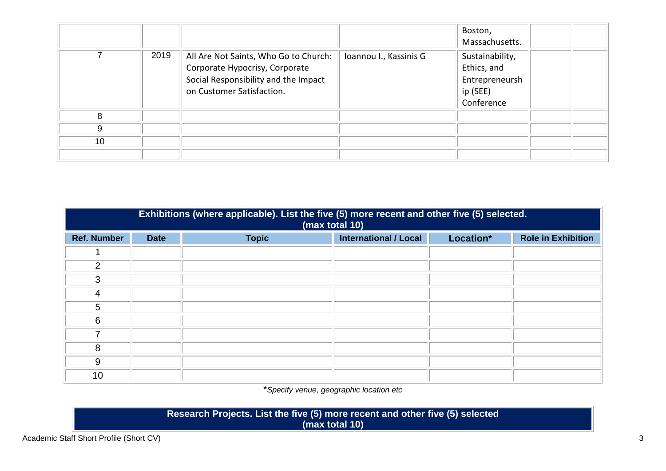|    |      |                                                                                                                                              |                        | Boston,<br>Massachusetts.                                                  |  |
|----|------|----------------------------------------------------------------------------------------------------------------------------------------------|------------------------|----------------------------------------------------------------------------|--|
|    | 2019 | All Are Not Saints, Who Go to Church:<br>Corporate Hypocrisy, Corporate<br>Social Responsibility and the Impact<br>on Customer Satisfaction. | Ioannou I., Kassinis G | Sustainability,<br>Ethics, and<br>Entrepreneursh<br>ip (SEE)<br>Conference |  |
| 8  |      |                                                                                                                                              |                        |                                                                            |  |
| 9  |      |                                                                                                                                              |                        |                                                                            |  |
| 10 |      |                                                                                                                                              |                        |                                                                            |  |
|    |      |                                                                                                                                              |                        |                                                                            |  |

| Exhibitions (where applicable). List the five (5) more recent and other five (5) selected.<br>(max total 10) |             |              |                              |           |                           |  |
|--------------------------------------------------------------------------------------------------------------|-------------|--------------|------------------------------|-----------|---------------------------|--|
| <b>Ref. Number</b>                                                                                           | <b>Date</b> | <b>Topic</b> | <b>International / Local</b> | Location* | <b>Role in Exhibition</b> |  |
|                                                                                                              |             |              |                              |           |                           |  |
| 2                                                                                                            |             |              |                              |           |                           |  |
| 3                                                                                                            |             |              |                              |           |                           |  |
| 4                                                                                                            |             |              |                              |           |                           |  |
| 5                                                                                                            |             |              |                              |           |                           |  |
| 6                                                                                                            |             |              |                              |           |                           |  |
|                                                                                                              |             |              |                              |           |                           |  |
| 8                                                                                                            |             |              |                              |           |                           |  |
| 9                                                                                                            |             |              |                              |           |                           |  |
| 10                                                                                                           |             |              |                              |           |                           |  |

\**Specify venue, geographic location etc*

**Research Projects. List the five (5) more recent and other five (5) selected (max total 10)**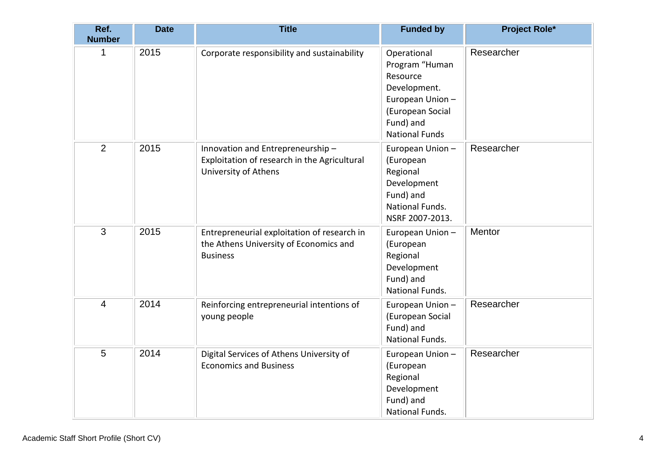| Ref.<br><b>Number</b> | <b>Date</b> | <b>Title</b>                                                                                             | <b>Funded by</b>                                                                                                                        | <b>Project Role*</b> |
|-----------------------|-------------|----------------------------------------------------------------------------------------------------------|-----------------------------------------------------------------------------------------------------------------------------------------|----------------------|
| 1                     | 2015        | Corporate responsibility and sustainability                                                              | Operational<br>Program "Human<br>Resource<br>Development.<br>European Union -<br>(European Social<br>Fund) and<br><b>National Funds</b> | Researcher           |
| 2                     | 2015        | Innovation and Entrepreneurship-<br>Exploitation of research in the Agricultural<br>University of Athens | European Union -<br>(European<br>Regional<br>Development<br>Fund) and<br>National Funds.<br>NSRF 2007-2013.                             | Researcher           |
| 3                     | 2015        | Entrepreneurial exploitation of research in<br>the Athens University of Economics and<br><b>Business</b> | European Union -<br>(European<br>Regional<br>Development<br>Fund) and<br>National Funds.                                                | Mentor               |
| 4                     | 2014        | Reinforcing entrepreneurial intentions of<br>young people                                                | European Union -<br>(European Social<br>Fund) and<br>National Funds.                                                                    | Researcher           |
| 5                     | 2014        | Digital Services of Athens University of<br><b>Economics and Business</b>                                | European Union -<br>(European<br>Regional<br>Development<br>Fund) and<br>National Funds.                                                | Researcher           |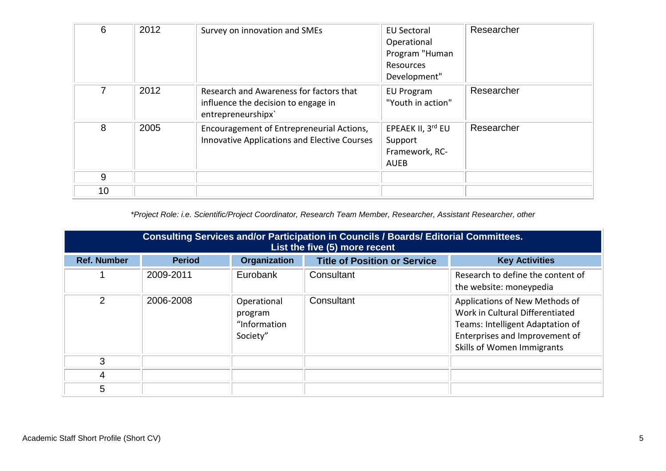| 6  | 2012 | Survey on innovation and SMEs                                                                        | <b>EU Sectoral</b><br>Operational<br>Program "Human<br>Resources<br>Development" | Researcher |
|----|------|------------------------------------------------------------------------------------------------------|----------------------------------------------------------------------------------|------------|
| 7  | 2012 | Research and Awareness for factors that<br>influence the decision to engage in<br>entrepreneurshipx` | <b>EU Program</b><br>"Youth in action"                                           | Researcher |
| 8  | 2005 | Encouragement of Entrepreneurial Actions,<br><b>Innovative Applications and Elective Courses</b>     | EPEAEK II, 3rd EU<br>Support<br>Framework, RC-<br><b>AUEB</b>                    | Researcher |
| 9  |      |                                                                                                      |                                                                                  |            |
| 10 |      |                                                                                                      |                                                                                  |            |

*\*Project Role: i.e. Scientific/Project Coordinator, Research Team Member, Researcher, Assistant Researcher, other*

| <b>Consulting Services and/or Participation in Councils / Boards/ Editorial Committees.</b><br>List the five (5) more recent |               |                                                    |                                     |                                                                                                                                                                       |
|------------------------------------------------------------------------------------------------------------------------------|---------------|----------------------------------------------------|-------------------------------------|-----------------------------------------------------------------------------------------------------------------------------------------------------------------------|
| <b>Ref. Number</b>                                                                                                           | <b>Period</b> | <b>Organization</b>                                | <b>Title of Position or Service</b> | <b>Key Activities</b>                                                                                                                                                 |
|                                                                                                                              | 2009-2011     | Eurobank                                           | Consultant                          | Research to define the content of<br>the website: moneypedia                                                                                                          |
| $\overline{2}$                                                                                                               | 2006-2008     | Operational<br>program<br>"Information<br>Society" | Consultant                          | Applications of New Methods of<br>Work in Cultural Differentiated<br>Teams: Intelligent Adaptation of<br>Enterprises and Improvement of<br>Skills of Women Immigrants |
| 3                                                                                                                            |               |                                                    |                                     |                                                                                                                                                                       |
| 4                                                                                                                            |               |                                                    |                                     |                                                                                                                                                                       |
| 5                                                                                                                            |               |                                                    |                                     |                                                                                                                                                                       |